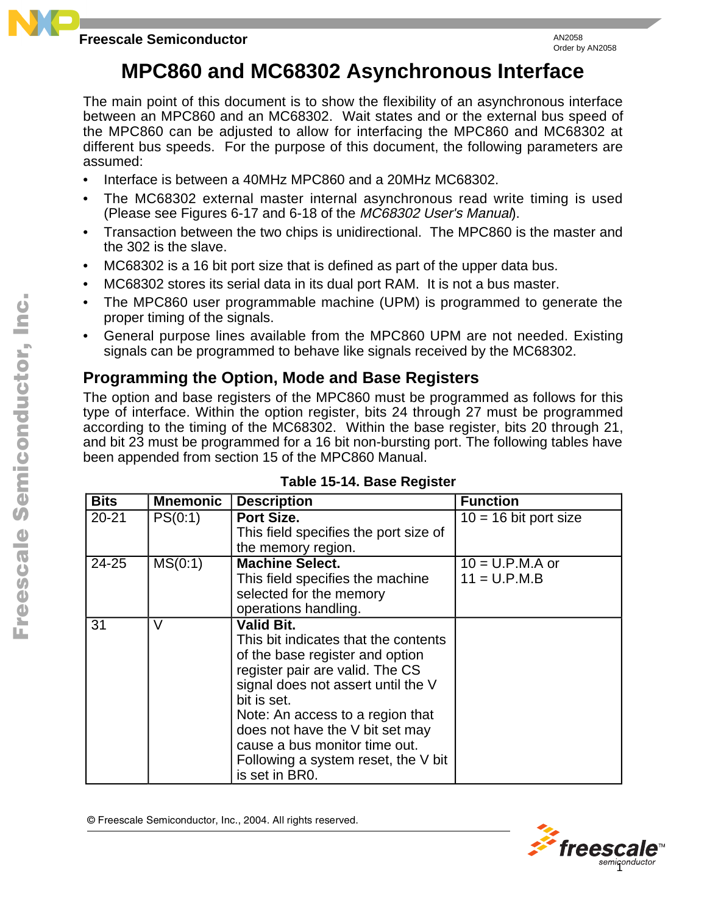# **MPC860 and MC68302 Asynchronous Interface**

The main point of this document is to show the flexibility of an asynchronous interface between an MPC860 and an MC68302. Wait states and or the external bus speed of the MPC860 can be adjusted to allow for interfacing the MPC860 and MC68302 at different bus speeds. For the purpose of this document, the following parameters are assumed:

- Interface is between a 40MHz MPC860 and a 20MHz MC68302.
- The MC68302 external master internal asynchronous read write timing is used (Please see Figures 6-17 and 6-18 of the MC68302 User's Manual).
- Transaction between the two chips is unidirectional. The MPC860 is the master and the 302 is the slave.
- MC68302 is a 16 bit port size that is defined as part of the upper data bus.
- MC68302 stores its serial data in its dual port RAM. It is not a bus master.
- The MPC860 user programmable machine (UPM) is programmed to generate the proper timing of the signals.
- General purpose lines available from the MPC860 UPM are not needed. Existing signals can be programmed to behave like signals received by the MC68302.

# **Programming the Option, Mode and Base Registers**

The option and base registers of the MPC860 must be programmed as follows for this type of interface. Within the option register, bits 24 through 27 must be programmed according to the timing of the MC68302. Within the base register, bits 20 through 21, and bit 23 must be programmed for a 16 bit non-bursting port. The following tables have been appended from section 15 of the MPC860 Manual.

| <b>Bits</b> | <b>Mnemonic</b> | <b>Description</b>                                                                                                                                                                                                                                                                                                                             | <b>Function</b>                     |
|-------------|-----------------|------------------------------------------------------------------------------------------------------------------------------------------------------------------------------------------------------------------------------------------------------------------------------------------------------------------------------------------------|-------------------------------------|
| $20 - 21$   | PS(0:1)         | Port Size.<br>This field specifies the port size of<br>the memory region.                                                                                                                                                                                                                                                                      | $\overline{10}$ = 16 bit port size  |
| 24-25       | MS(0:1)         | <b>Machine Select.</b><br>This field specifies the machine<br>selected for the memory<br>operations handling.                                                                                                                                                                                                                                  | $10 = U.P.M.A$ or<br>$11 = U.P.M.B$ |
| 31          | V               | Valid Bit.<br>This bit indicates that the contents<br>of the base register and option<br>register pair are valid. The CS<br>signal does not assert until the V<br>bit is set.<br>Note: An access to a region that<br>does not have the V bit set may<br>cause a bus monitor time out.<br>Following a system reset, the V bit<br>is set in BR0. |                                     |

### **Table 15-14. Base Register**

© Freescale Semiconductor, Inc., 2004. All rights reserved.

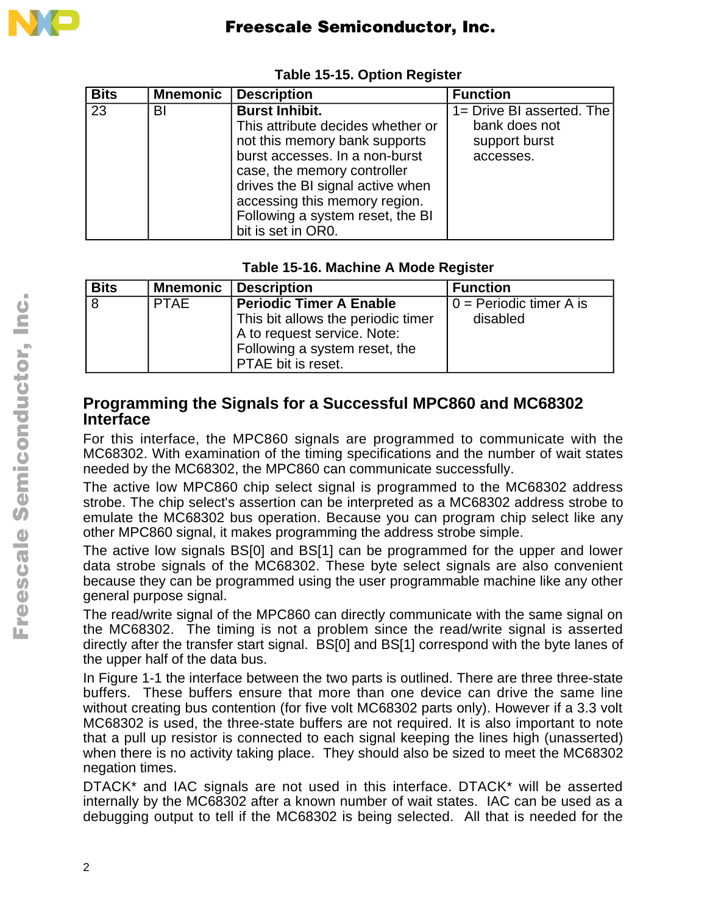

| <b>Bits</b> | <b>Mnemonic</b> | <b>Description</b>                                                                                                                                                                                                                                                                          | <b>Function</b>                                                          |
|-------------|-----------------|---------------------------------------------------------------------------------------------------------------------------------------------------------------------------------------------------------------------------------------------------------------------------------------------|--------------------------------------------------------------------------|
| 23          | BI              | <b>Burst Inhibit.</b><br>This attribute decides whether or<br>not this memory bank supports<br>burst accesses. In a non-burst<br>case, the memory controller<br>drives the BI signal active when<br>accessing this memory region.<br>Following a system reset, the BI<br>bit is set in OR0. | 1= Drive BI asserted. The<br>bank does not<br>support burst<br>accesses. |

## **Table 15-15. Option Register**

### **Table 15-16. Machine A Mode Register**

| <b>Bits</b> | <b>Mnemonic</b> | <b>Description</b>                                                                                                       | <b>Function</b>           |
|-------------|-----------------|--------------------------------------------------------------------------------------------------------------------------|---------------------------|
|             | <b>PTAE</b>     | <b>Periodic Timer A Enable</b>                                                                                           | $0 =$ Periodic timer A is |
|             |                 | This bit allows the periodic timer<br>A to request service. Note:<br>Following a system reset, the<br>PTAE bit is reset. | disabled                  |

# **Programming the Signals for a Successful MPC860 and MC68302 Interface**

For this interface, the MPC860 signals are programmed to communicate with the MC68302. With examination of the timing specifications and the number of wait states needed by the MC68302, the MPC860 can communicate successfully.

The active low MPC860 chip select signal is programmed to the MC68302 address strobe. The chip select's assertion can be interpreted as a MC68302 address strobe to emulate the MC68302 bus operation. Because you can program chip select like any other MPC860 signal, it makes programming the address strobe simple.

The active low signals BS[0] and BS[1] can be programmed for the upper and lower data strobe signals of the MC68302. These byte select signals are also convenient because they can be programmed using the user programmable machine like any other general purpose signal.

The read/write signal of the MPC860 can directly communicate with the same signal on the MC68302. The timing is not a problem since the read/write signal is asserted directly after the transfer start signal. BS[0] and BS[1] correspond with the byte lanes of the upper half of the data bus.

In Figure 1-1 the interface between the two parts is outlined. There are three three-state buffers. These buffers ensure that more than one device can drive the same line without creating bus contention (for five volt MC68302 parts only). However if a 3.3 volt MC68302 is used, the three-state buffers are not required. It is also important to note that a pull up resistor is connected to each signal keeping the lines high (unasserted) when there is no activity taking place. They should also be sized to meet the MC68302 negation times.

DTACK\* and IAC signals are not used in this interface. DTACK\* will be asserted internally by the MC68302 after a known number of wait states. IAC can be used as a debugging output to tell if the MC68302 is being selected. All that is needed for the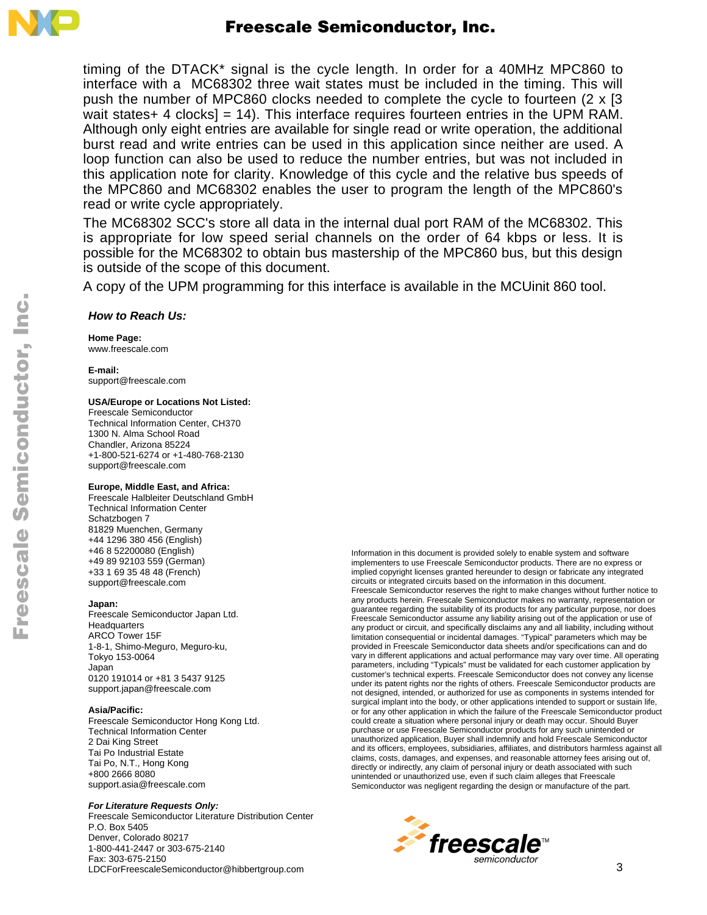

timing of the DTACK\* signal is the cycle length. In order for a 40MHz MPC860 to interface with a MC68302 three wait states must be included in the timing. This will push the number of MPC860 clocks needed to complete the cycle to fourteen (2 x [3 wait states+ 4 clocks] = 14). This interface requires fourteen entries in the UPM RAM. Although only eight entries are available for single read or write operation, the additional burst read and write entries can be used in this application since neither are used. A loop function can also be used to reduce the number entries, but was not included in this application note for clarity. Knowledge of this cycle and the relative bus speeds of the MPC860 and MC68302 enables the user to program the length of the MPC860's read or write cycle appropriately.

The MC68302 SCC's store all data in the internal dual port RAM of the MC68302. This is appropriate for low speed serial channels on the order of 64 kbps or less. It is possible for the MC68302 to obtain bus mastership of the MPC860 bus, but this design is outside of the scope of this document.

A copy of the UPM programming for this interface is available in the MCUinit 860 tool.

#### *How to Reach Us:*

**Home Page:**  www.freescale.com

**E-mail:**  support@freescale.com

#### **USA/Europe or Locations Not Listed:**

Freescale Semiconductor Technical Information Center, CH370 1300 N. Alma School Road Chandler, Arizona 85224 +1-800-521-6274 or +1-480-768-2130 support@freescale.com

#### **Europe, Middle East, and Africa:**

Freescale Halbleiter Deutschland GmbH Technical Information Center Schatzbogen 7 81829 Muenchen, Germany +44 1296 380 456 (English) +46 8 52200080 (English) +49 89 92103 559 (German) +33 1 69 35 48 48 (French) support@freescale.com

#### **Japan:**

Freescale Semiconductor Japan Ltd. **Headquarters** ARCO Tower 15F 1-8-1, Shimo-Meguro, Meguro-ku, Tokyo 153-0064 Japan 0120 191014 or +81 3 5437 9125 support.japan@freescale.com

#### **Asia/Pacific:**

Freescale Semiconductor Hong Kong Ltd. Technical Information Center 2 Dai King Street Tai Po Industrial Estate Tai Po, N.T., Hong Kong +800 2666 8080 support.asia@freescale.com

#### *For Literature Requests Only:*

Freescale Semiconductor Literature Distribution Center P.O. Box 5405 Denver, Colorado 80217 1-800-441-2447 or 303-675-2140 Fax: 303-675-2150 LDCForFreescaleSemiconductor@hibbertgroup.com

Information in this document is provided solely to enable system and software implementers to use Freescale Semiconductor products. There are no express or implied copyright licenses granted hereunder to design or fabricate any integrated circuits or integrated circuits based on the information in this document. Freescale Semiconductor reserves the right to make changes without further notice to any products herein. Freescale Semiconductor makes no warranty, representation or guarantee regarding the suitability of its products for any particular purpose, nor does Freescale Semiconductor assume any liability arising out of the application or use of any product or circuit, and specifically disclaims any and all liability, including without limitation consequential or incidental damages. "Typical" parameters which may be provided in Freescale Semiconductor data sheets and/or specifications can and do vary in different applications and actual performance may vary over time. All operating parameters, including "Typicals" must be validated for each customer application by customer's technical experts. Freescale Semiconductor does not convey any license under its patent rights nor the rights of others. Freescale Semiconductor products are not designed, intended, or authorized for use as components in systems intended for surgical implant into the body, or other applications intended to support or sustain life, or for any other application in which the failure of the Freescale Semiconductor product could create a situation where personal injury or death may occur. Should Buyer purchase or use Freescale Semiconductor products for any such unintended or unauthorized application, Buyer shall indemnify and hold Freescale Semiconductor and its officers, employees, subsidiaries, affiliates, and distributors harmless against all claims, costs, damages, and expenses, and reasonable attorney fees arising out of, directly or indirectly, any claim of personal injury or death associated with such unintended or unauthorized use, even if such claim alleges that Freescale Semiconductor was negligent regarding the design or manufacture of the part.